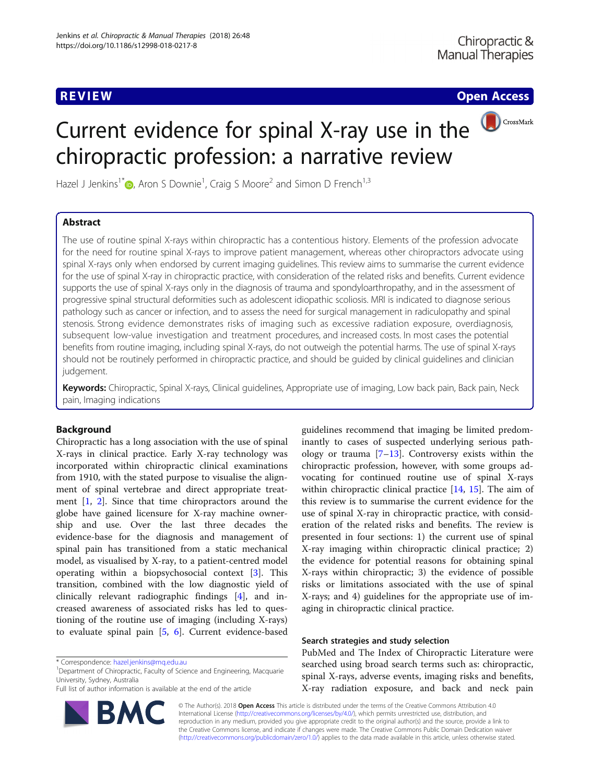**REVIEW CONTROL** REVIEW CONTROL CONTROL CONTROL CONTROL CONTROL CONTROL CONTROL CONTROL CONTROL CONTROL CONTROL CONTROL CONTROL CONTROL CONTROL CONTROL CONTROL CONTROL CONTROL CONTROL CONTROL CONTROL CONTROL CONTROL CONTRO

CrossMark

# Current evidence for spinal X-ray use in the chiropractic profession: a narrative review

Hazel J Jenkins<sup>1\*</sup> $\bullet$ [,](http://orcid.org/0000-0002-0535-687X) Aron S Downie<sup>1</sup>, Craig S Moore<sup>2</sup> and Simon D French<sup>1,3</sup>

# Abstract

The use of routine spinal X-rays within chiropractic has a contentious history. Elements of the profession advocate for the need for routine spinal X-rays to improve patient management, whereas other chiropractors advocate using spinal X-rays only when endorsed by current imaging guidelines. This review aims to summarise the current evidence for the use of spinal X-ray in chiropractic practice, with consideration of the related risks and benefits. Current evidence supports the use of spinal X-rays only in the diagnosis of trauma and spondyloarthropathy, and in the assessment of progressive spinal structural deformities such as adolescent idiopathic scoliosis. MRI is indicated to diagnose serious pathology such as cancer or infection, and to assess the need for surgical management in radiculopathy and spinal stenosis. Strong evidence demonstrates risks of imaging such as excessive radiation exposure, overdiagnosis, subsequent low-value investigation and treatment procedures, and increased costs. In most cases the potential benefits from routine imaging, including spinal X-rays, do not outweigh the potential harms. The use of spinal X-rays should not be routinely performed in chiropractic practice, and should be guided by clinical guidelines and clinician judgement.

Keywords: Chiropractic, Spinal X-rays, Clinical guidelines, Appropriate use of imaging, Low back pain, Back pain, Neck pain, Imaging indications

# Background

Chiropractic has a long association with the use of spinal X-rays in clinical practice. Early X-ray technology was incorporated within chiropractic clinical examinations from 1910, with the stated purpose to visualise the alignment of spinal vertebrae and direct appropriate treatment [[1,](#page-8-0) [2\]](#page-8-0). Since that time chiropractors around the globe have gained licensure for X-ray machine ownership and use. Over the last three decades the evidence-base for the diagnosis and management of spinal pain has transitioned from a static mechanical model, as visualised by X-ray, to a patient-centred model operating within a biopsychosocial context [[3\]](#page-8-0). This transition, combined with the low diagnostic yield of clinically relevant radiographic findings [[4\]](#page-8-0), and increased awareness of associated risks has led to questioning of the routine use of imaging (including X-rays) to evaluate spinal pain [[5](#page-8-0), [6\]](#page-8-0). Current evidence-based

<sup>1</sup>Department of Chiropractic, Faculty of Science and Engineering, Macquarie University, Sydney, Australia

Full list of author information is available at the end of the article



guidelines recommend that imaging be limited predominantly to cases of suspected underlying serious pathology or trauma  $[7-13]$  $[7-13]$  $[7-13]$ . Controversy exists within the chiropractic profession, however, with some groups advocating for continued routine use of spinal X-rays within chiropractic clinical practice [[14,](#page-8-0) [15](#page-8-0)]. The aim of this review is to summarise the current evidence for the use of spinal X-ray in chiropractic practice, with consideration of the related risks and benefits. The review is presented in four sections: 1) the current use of spinal X-ray imaging within chiropractic clinical practice; 2) the evidence for potential reasons for obtaining spinal X-rays within chiropractic; 3) the evidence of possible risks or limitations associated with the use of spinal X-rays; and 4) guidelines for the appropriate use of imaging in chiropractic clinical practice.

# Search strategies and study selection

PubMed and The Index of Chiropractic Literature were searched using broad search terms such as: chiropractic, spinal X-rays, adverse events, imaging risks and benefits, X-ray radiation exposure, and back and neck pain

© The Author(s). 2018 Open Access This article is distributed under the terms of the Creative Commons Attribution 4.0 International License [\(http://creativecommons.org/licenses/by/4.0/](http://creativecommons.org/licenses/by/4.0/)), which permits unrestricted use, distribution, and reproduction in any medium, provided you give appropriate credit to the original author(s) and the source, provide a link to the Creative Commons license, and indicate if changes were made. The Creative Commons Public Domain Dedication waiver [\(http://creativecommons.org/publicdomain/zero/1.0/](http://creativecommons.org/publicdomain/zero/1.0/)) applies to the data made available in this article, unless otherwise stated.

<sup>\*</sup> Correspondence: [hazel.jenkins@mq.edu.au](mailto:hazel.jenkins@mq.edu.au) <sup>1</sup>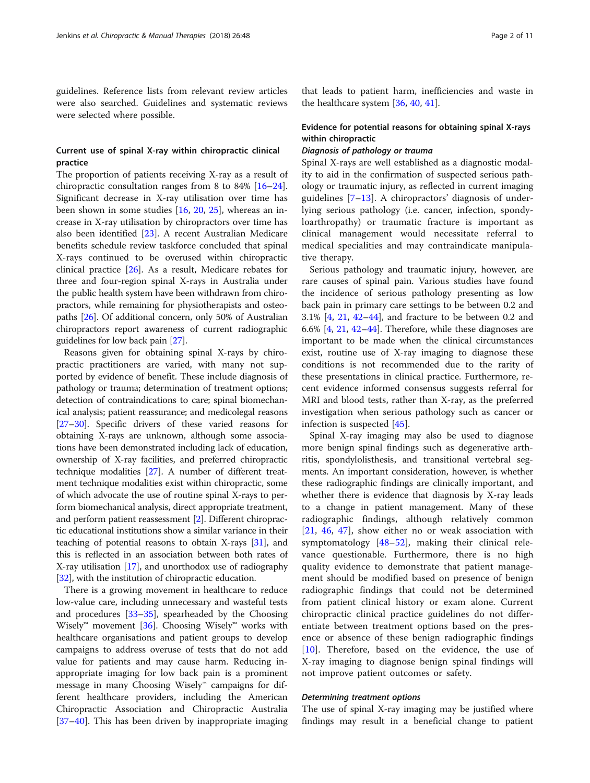guidelines. Reference lists from relevant review articles were also searched. Guidelines and systematic reviews were selected where possible.

# Current use of spinal X-ray within chiropractic clinical practice

The proportion of patients receiving X-ray as a result of chiropractic consultation ranges from 8 to 84% [[16](#page-8-0)–[24](#page-8-0)]. Significant decrease in X-ray utilisation over time has been shown in some studies [\[16](#page-8-0), [20](#page-8-0), [25\]](#page-8-0), whereas an increase in X-ray utilisation by chiropractors over time has also been identified [[23\]](#page-8-0). A recent Australian Medicare benefits schedule review taskforce concluded that spinal X-rays continued to be overused within chiropractic clinical practice [[26\]](#page-8-0). As a result, Medicare rebates for three and four-region spinal X-rays in Australia under the public health system have been withdrawn from chiropractors, while remaining for physiotherapists and osteopaths [[26](#page-8-0)]. Of additional concern, only 50% of Australian chiropractors report awareness of current radiographic guidelines for low back pain [\[27\]](#page-8-0).

Reasons given for obtaining spinal X-rays by chiropractic practitioners are varied, with many not supported by evidence of benefit. These include diagnosis of pathology or trauma; determination of treatment options; detection of contraindications to care; spinal biomechanical analysis; patient reassurance; and medicolegal reasons [[27](#page-8-0)–[30\]](#page-8-0). Specific drivers of these varied reasons for obtaining X-rays are unknown, although some associations have been demonstrated including lack of education, ownership of X-ray facilities, and preferred chiropractic technique modalities [[27\]](#page-8-0). A number of different treatment technique modalities exist within chiropractic, some of which advocate the use of routine spinal X-rays to perform biomechanical analysis, direct appropriate treatment, and perform patient reassessment [\[2\]](#page-8-0). Different chiropractic educational institutions show a similar variance in their teaching of potential reasons to obtain X-rays [\[31](#page-8-0)], and this is reflected in an association between both rates of X-ray utilisation [\[17\]](#page-8-0), and unorthodox use of radiography [[32](#page-8-0)], with the institution of chiropractic education.

There is a growing movement in healthcare to reduce low-value care, including unnecessary and wasteful tests and procedures [\[33](#page-8-0)–[35\]](#page-8-0), spearheaded by the Choosing Wisely™ movement [\[36](#page-9-0)]. Choosing Wisely™ works with healthcare organisations and patient groups to develop campaigns to address overuse of tests that do not add value for patients and may cause harm. Reducing inappropriate imaging for low back pain is a prominent message in many Choosing Wisely™ campaigns for different healthcare providers, including the American Chiropractic Association and Chiropractic Australia [[37](#page-9-0)–[40](#page-9-0)]. This has been driven by inappropriate imaging that leads to patient harm, inefficiencies and waste in the healthcare system [\[36](#page-9-0), [40](#page-9-0), [41\]](#page-9-0).

# Evidence for potential reasons for obtaining spinal X-rays within chiropractic

## Diagnosis of pathology or trauma

Spinal X-rays are well established as a diagnostic modality to aid in the confirmation of suspected serious pathology or traumatic injury, as reflected in current imaging guidelines  $[7-13]$  $[7-13]$  $[7-13]$  $[7-13]$ . A chiropractors' diagnosis of underlying serious pathology (i.e. cancer, infection, spondyloarthropathy) or traumatic fracture is important as clinical management would necessitate referral to medical specialities and may contraindicate manipulative therapy.

Serious pathology and traumatic injury, however, are rare causes of spinal pain. Various studies have found the incidence of serious pathology presenting as low back pain in primary care settings to be between 0.2 and 3.1% [\[4](#page-8-0), [21,](#page-8-0) [42](#page-9-0)–[44](#page-9-0)], and fracture to be between 0.2 and 6.6% [[4,](#page-8-0) [21,](#page-8-0) [42](#page-9-0)–[44\]](#page-9-0). Therefore, while these diagnoses are important to be made when the clinical circumstances exist, routine use of X-ray imaging to diagnose these conditions is not recommended due to the rarity of these presentations in clinical practice. Furthermore, recent evidence informed consensus suggests referral for MRI and blood tests, rather than X-ray, as the preferred investigation when serious pathology such as cancer or infection is suspected [[45\]](#page-9-0).

Spinal X-ray imaging may also be used to diagnose more benign spinal findings such as degenerative arthritis, spondylolisthesis, and transitional vertebral segments. An important consideration, however, is whether these radiographic findings are clinically important, and whether there is evidence that diagnosis by X-ray leads to a change in patient management. Many of these radiographic findings, although relatively common [[21,](#page-8-0) [46,](#page-9-0) [47](#page-9-0)], show either no or weak association with symptomatology [[48](#page-9-0)–[52](#page-9-0)], making their clinical relevance questionable. Furthermore, there is no high quality evidence to demonstrate that patient management should be modified based on presence of benign radiographic findings that could not be determined from patient clinical history or exam alone. Current chiropractic clinical practice guidelines do not differentiate between treatment options based on the presence or absence of these benign radiographic findings [[10\]](#page-8-0). Therefore, based on the evidence, the use of X-ray imaging to diagnose benign spinal findings will not improve patient outcomes or safety.

## Determining treatment options

The use of spinal X-ray imaging may be justified where findings may result in a beneficial change to patient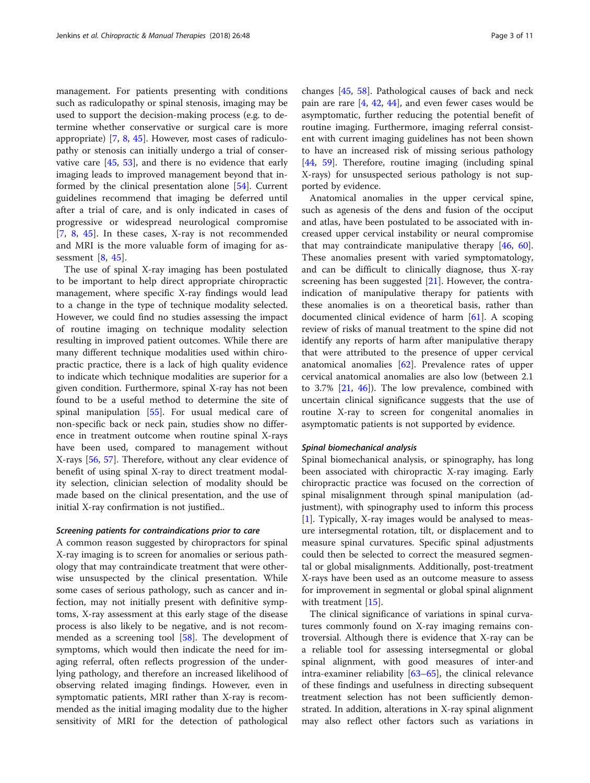management. For patients presenting with conditions such as radiculopathy or spinal stenosis, imaging may be used to support the decision-making process (e.g. to determine whether conservative or surgical care is more appropriate) [\[7](#page-8-0), [8,](#page-8-0) [45](#page-9-0)]. However, most cases of radiculopathy or stenosis can initially undergo a trial of conservative care [\[45](#page-9-0), [53\]](#page-9-0), and there is no evidence that early imaging leads to improved management beyond that informed by the clinical presentation alone [[54\]](#page-9-0). Current guidelines recommend that imaging be deferred until after a trial of care, and is only indicated in cases of progressive or widespread neurological compromise [[7,](#page-8-0) [8,](#page-8-0) [45](#page-9-0)]. In these cases, X-ray is not recommended and MRI is the more valuable form of imaging for as-sessment [[8,](#page-8-0) [45\]](#page-9-0).

The use of spinal X-ray imaging has been postulated to be important to help direct appropriate chiropractic management, where specific X-ray findings would lead to a change in the type of technique modality selected. However, we could find no studies assessing the impact of routine imaging on technique modality selection resulting in improved patient outcomes. While there are many different technique modalities used within chiropractic practice, there is a lack of high quality evidence to indicate which technique modalities are superior for a given condition. Furthermore, spinal X-ray has not been found to be a useful method to determine the site of spinal manipulation [\[55\]](#page-9-0). For usual medical care of non-specific back or neck pain, studies show no difference in treatment outcome when routine spinal X-rays have been used, compared to management without X-rays [\[56](#page-9-0), [57\]](#page-9-0). Therefore, without any clear evidence of benefit of using spinal X-ray to direct treatment modality selection, clinician selection of modality should be made based on the clinical presentation, and the use of initial X-ray confirmation is not justified..

## Screening patients for contraindications prior to care

A common reason suggested by chiropractors for spinal X-ray imaging is to screen for anomalies or serious pathology that may contraindicate treatment that were otherwise unsuspected by the clinical presentation. While some cases of serious pathology, such as cancer and infection, may not initially present with definitive symptoms, X-ray assessment at this early stage of the disease process is also likely to be negative, and is not recommended as a screening tool [\[58](#page-9-0)]. The development of symptoms, which would then indicate the need for imaging referral, often reflects progression of the underlying pathology, and therefore an increased likelihood of observing related imaging findings. However, even in symptomatic patients, MRI rather than X-ray is recommended as the initial imaging modality due to the higher sensitivity of MRI for the detection of pathological

changes [[45](#page-9-0), [58\]](#page-9-0). Pathological causes of back and neck pain are rare  $[4, 42, 44]$  $[4, 42, 44]$  $[4, 42, 44]$  $[4, 42, 44]$  $[4, 42, 44]$  $[4, 42, 44]$ , and even fewer cases would be asymptomatic, further reducing the potential benefit of routine imaging. Furthermore, imaging referral consistent with current imaging guidelines has not been shown to have an increased risk of missing serious pathology [[44,](#page-9-0) [59](#page-9-0)]. Therefore, routine imaging (including spinal X-rays) for unsuspected serious pathology is not supported by evidence.

Anatomical anomalies in the upper cervical spine, such as agenesis of the dens and fusion of the occiput and atlas, have been postulated to be associated with increased upper cervical instability or neural compromise that may contraindicate manipulative therapy  $[46, 60]$  $[46, 60]$  $[46, 60]$  $[46, 60]$  $[46, 60]$ . These anomalies present with varied symptomatology, and can be difficult to clinically diagnose, thus X-ray screening has been suggested [[21](#page-8-0)]. However, the contraindication of manipulative therapy for patients with these anomalies is on a theoretical basis, rather than documented clinical evidence of harm [[61\]](#page-9-0). A scoping review of risks of manual treatment to the spine did not identify any reports of harm after manipulative therapy that were attributed to the presence of upper cervical anatomical anomalies [[62\]](#page-9-0). Prevalence rates of upper cervical anatomical anomalies are also low (between 2.1 to 3.7% [[21,](#page-8-0) [46](#page-9-0)]). The low prevalence, combined with uncertain clinical significance suggests that the use of routine X-ray to screen for congenital anomalies in asymptomatic patients is not supported by evidence.

## Spinal biomechanical analysis

Spinal biomechanical analysis, or spinography, has long been associated with chiropractic X-ray imaging. Early chiropractic practice was focused on the correction of spinal misalignment through spinal manipulation (adjustment), with spinography used to inform this process [[1\]](#page-8-0). Typically, X-ray images would be analysed to measure intersegmental rotation, tilt, or displacement and to measure spinal curvatures. Specific spinal adjustments could then be selected to correct the measured segmental or global misalignments. Additionally, post-treatment X-rays have been used as an outcome measure to assess for improvement in segmental or global spinal alignment with treatment [[15](#page-8-0)].

The clinical significance of variations in spinal curvatures commonly found on X-ray imaging remains controversial. Although there is evidence that X-ray can be a reliable tool for assessing intersegmental or global spinal alignment, with good measures of inter-and intra-examiner reliability [[63](#page-9-0)–[65\]](#page-9-0), the clinical relevance of these findings and usefulness in directing subsequent treatment selection has not been sufficiently demonstrated. In addition, alterations in X-ray spinal alignment may also reflect other factors such as variations in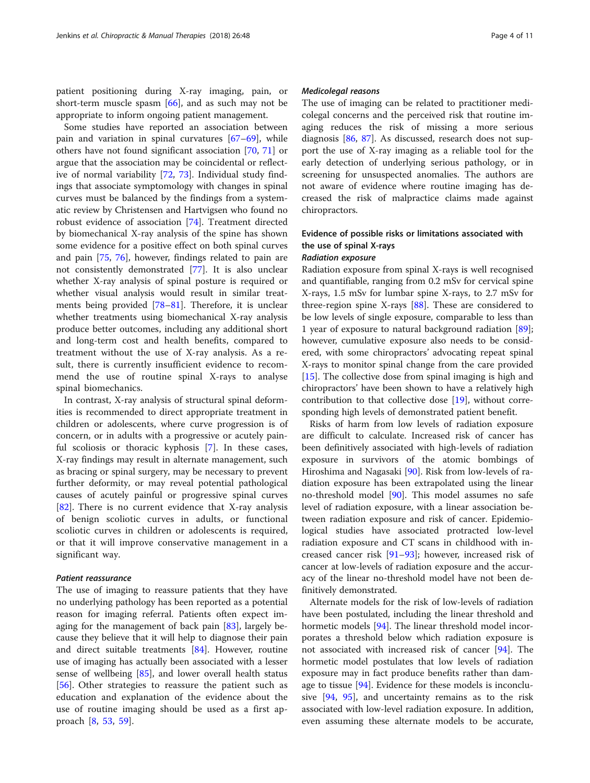patient positioning during X-ray imaging, pain, or short-term muscle spasm  $[66]$  $[66]$  $[66]$ , and as such may not be appropriate to inform ongoing patient management.

Some studies have reported an association between pain and variation in spinal curvatures [[67](#page-9-0)–[69\]](#page-9-0), while others have not found significant association [[70](#page-9-0), [71\]](#page-9-0) or argue that the association may be coincidental or reflective of normal variability [[72,](#page-9-0) [73\]](#page-9-0). Individual study findings that associate symptomology with changes in spinal curves must be balanced by the findings from a systematic review by Christensen and Hartvigsen who found no robust evidence of association [[74](#page-9-0)]. Treatment directed by biomechanical X-ray analysis of the spine has shown some evidence for a positive effect on both spinal curves and pain [[75](#page-9-0), [76](#page-9-0)], however, findings related to pain are not consistently demonstrated [\[77](#page-9-0)]. It is also unclear whether X-ray analysis of spinal posture is required or whether visual analysis would result in similar treatments being provided [[78](#page-9-0)–[81](#page-9-0)]. Therefore, it is unclear whether treatments using biomechanical X-ray analysis produce better outcomes, including any additional short and long-term cost and health benefits, compared to treatment without the use of X-ray analysis. As a result, there is currently insufficient evidence to recommend the use of routine spinal X-rays to analyse spinal biomechanics.

In contrast, X-ray analysis of structural spinal deformities is recommended to direct appropriate treatment in children or adolescents, where curve progression is of concern, or in adults with a progressive or acutely painful scoliosis or thoracic kyphosis [[7\]](#page-8-0). In these cases, X-ray findings may result in alternate management, such as bracing or spinal surgery, may be necessary to prevent further deformity, or may reveal potential pathological causes of acutely painful or progressive spinal curves [[82\]](#page-9-0). There is no current evidence that X-ray analysis of benign scoliotic curves in adults, or functional scoliotic curves in children or adolescents is required, or that it will improve conservative management in a significant way.

## Patient reassurance

The use of imaging to reassure patients that they have no underlying pathology has been reported as a potential reason for imaging referral. Patients often expect imaging for the management of back pain [[83](#page-9-0)], largely because they believe that it will help to diagnose their pain and direct suitable treatments [\[84](#page-9-0)]. However, routine use of imaging has actually been associated with a lesser sense of wellbeing [[85\]](#page-9-0), and lower overall health status [[56\]](#page-9-0). Other strategies to reassure the patient such as education and explanation of the evidence about the use of routine imaging should be used as a first approach [[8,](#page-8-0) [53,](#page-9-0) [59\]](#page-9-0).

## Medicolegal reasons

The use of imaging can be related to practitioner medicolegal concerns and the perceived risk that routine imaging reduces the risk of missing a more serious diagnosis [\[86](#page-10-0), [87\]](#page-10-0). As discussed, research does not support the use of X-ray imaging as a reliable tool for the early detection of underlying serious pathology, or in screening for unsuspected anomalies. The authors are not aware of evidence where routine imaging has decreased the risk of malpractice claims made against chiropractors.

# Evidence of possible risks or limitations associated with the use of spinal X-rays Radiation exposure

Radiation exposure from spinal X-rays is well recognised and quantifiable, ranging from 0.2 mSv for cervical spine X-rays, 1.5 mSv for lumbar spine X-rays, to 2.7 mSv for three-region spine X-rays  $[88]$  $[88]$ . These are considered to be low levels of single exposure, comparable to less than 1 year of exposure to natural background radiation [\[89](#page-10-0)]; however, cumulative exposure also needs to be considered, with some chiropractors' advocating repeat spinal X-rays to monitor spinal change from the care provided [[15\]](#page-8-0). The collective dose from spinal imaging is high and chiropractors' have been shown to have a relatively high contribution to that collective dose [\[19](#page-8-0)], without corresponding high levels of demonstrated patient benefit.

Risks of harm from low levels of radiation exposure are difficult to calculate. Increased risk of cancer has been definitively associated with high-levels of radiation exposure in survivors of the atomic bombings of Hiroshima and Nagasaki [[90](#page-10-0)]. Risk from low-levels of radiation exposure has been extrapolated using the linear no-threshold model [[90\]](#page-10-0). This model assumes no safe level of radiation exposure, with a linear association between radiation exposure and risk of cancer. Epidemiological studies have associated protracted low-level radiation exposure and CT scans in childhood with increased cancer risk [\[91](#page-10-0)–[93\]](#page-10-0); however, increased risk of cancer at low-levels of radiation exposure and the accuracy of the linear no-threshold model have not been definitively demonstrated.

Alternate models for the risk of low-levels of radiation have been postulated, including the linear threshold and hormetic models [\[94\]](#page-10-0). The linear threshold model incorporates a threshold below which radiation exposure is not associated with increased risk of cancer [\[94](#page-10-0)]. The hormetic model postulates that low levels of radiation exposure may in fact produce benefits rather than damage to tissue  $[94]$  $[94]$ . Evidence for these models is inconclusive [[94,](#page-10-0) [95](#page-10-0)], and uncertainty remains as to the risk associated with low-level radiation exposure. In addition, even assuming these alternate models to be accurate,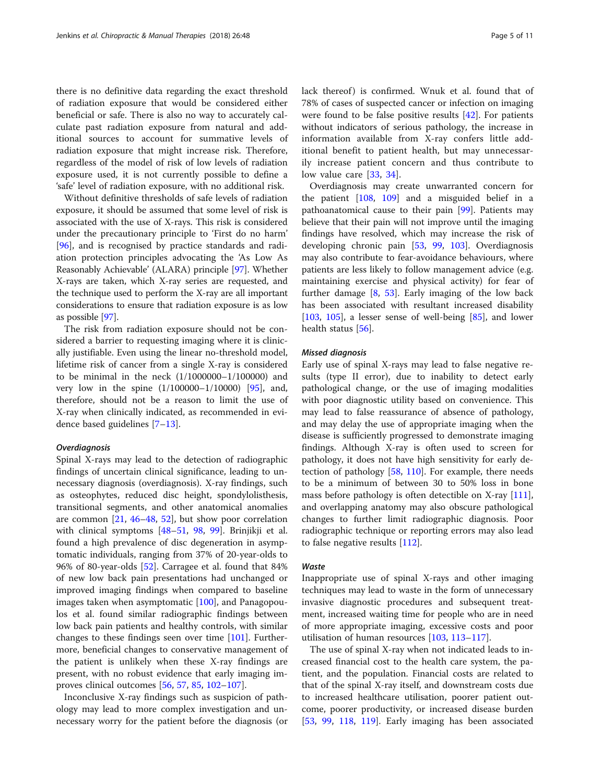there is no definitive data regarding the exact threshold of radiation exposure that would be considered either beneficial or safe. There is also no way to accurately calculate past radiation exposure from natural and additional sources to account for summative levels of radiation exposure that might increase risk. Therefore, regardless of the model of risk of low levels of radiation exposure used, it is not currently possible to define a 'safe' level of radiation exposure, with no additional risk.

Without definitive thresholds of safe levels of radiation exposure, it should be assumed that some level of risk is associated with the use of X-rays. This risk is considered under the precautionary principle to 'First do no harm' [[96\]](#page-10-0), and is recognised by practice standards and radiation protection principles advocating the 'As Low As Reasonably Achievable' (ALARA) principle [[97\]](#page-10-0). Whether X-rays are taken, which X-ray series are requested, and the technique used to perform the X-ray are all important considerations to ensure that radiation exposure is as low as possible [\[97\]](#page-10-0).

The risk from radiation exposure should not be considered a barrier to requesting imaging where it is clinically justifiable. Even using the linear no-threshold model, lifetime risk of cancer from a single X-ray is considered to be minimal in the neck  $(1/1000000-1/100000)$  and very low in the spine  $(1/100000-1/10000)$  [\[95](#page-10-0)], and, therefore, should not be a reason to limit the use of X-ray when clinically indicated, as recommended in evidence based guidelines [\[7](#page-8-0)–[13](#page-8-0)].

## **Overdiagnosis**

Spinal X-rays may lead to the detection of radiographic findings of uncertain clinical significance, leading to unnecessary diagnosis (overdiagnosis). X-ray findings, such as osteophytes, reduced disc height, spondylolisthesis, transitional segments, and other anatomical anomalies are common [[21,](#page-8-0) [46](#page-9-0)–[48](#page-9-0), [52\]](#page-9-0), but show poor correlation with clinical symptoms [[48](#page-9-0)–[51](#page-9-0), [98](#page-10-0), [99\]](#page-10-0). Brinjikji et al. found a high prevalence of disc degeneration in asymptomatic individuals, ranging from 37% of 20-year-olds to 96% of 80-year-olds [\[52\]](#page-9-0). Carragee et al. found that 84% of new low back pain presentations had unchanged or improved imaging findings when compared to baseline images taken when asymptomatic [[100\]](#page-10-0), and Panagopoulos et al. found similar radiographic findings between low back pain patients and healthy controls, with similar changes to these findings seen over time [[101\]](#page-10-0). Furthermore, beneficial changes to conservative management of the patient is unlikely when these X-ray findings are present, with no robust evidence that early imaging improves clinical outcomes [[56](#page-9-0), [57](#page-9-0), [85](#page-9-0), [102](#page-10-0)–[107\]](#page-10-0).

Inconclusive X-ray findings such as suspicion of pathology may lead to more complex investigation and unnecessary worry for the patient before the diagnosis (or lack thereof) is confirmed. Wnuk et al. found that of 78% of cases of suspected cancer or infection on imaging were found to be false positive results [\[42\]](#page-9-0). For patients without indicators of serious pathology, the increase in information available from X-ray confers little additional benefit to patient health, but may unnecessarily increase patient concern and thus contribute to low value care [\[33](#page-8-0), [34\]](#page-8-0).

Overdiagnosis may create unwarranted concern for the patient [\[108,](#page-10-0) [109](#page-10-0)] and a misguided belief in a pathoanatomical cause to their pain [\[99\]](#page-10-0). Patients may believe that their pain will not improve until the imaging findings have resolved, which may increase the risk of developing chronic pain [[53](#page-9-0), [99,](#page-10-0) [103](#page-10-0)]. Overdiagnosis may also contribute to fear-avoidance behaviours, where patients are less likely to follow management advice (e.g. maintaining exercise and physical activity) for fear of further damage [[8,](#page-8-0) [53](#page-9-0)]. Early imaging of the low back has been associated with resultant increased disability [[103,](#page-10-0) [105\]](#page-10-0), a lesser sense of well-being  $[85]$ , and lower health status [[56](#page-9-0)].

## Missed diagnosis

Early use of spinal X-rays may lead to false negative results (type II error), due to inability to detect early pathological change, or the use of imaging modalities with poor diagnostic utility based on convenience. This may lead to false reassurance of absence of pathology, and may delay the use of appropriate imaging when the disease is sufficiently progressed to demonstrate imaging findings. Although X-ray is often used to screen for pathology, it does not have high sensitivity for early detection of pathology [[58,](#page-9-0) [110\]](#page-10-0). For example, there needs to be a minimum of between 30 to 50% loss in bone mass before pathology is often detectible on X-ray [[111](#page-10-0)], and overlapping anatomy may also obscure pathological changes to further limit radiographic diagnosis. Poor radiographic technique or reporting errors may also lead to false negative results [\[112](#page-10-0)].

## Waste

Inappropriate use of spinal X-rays and other imaging techniques may lead to waste in the form of unnecessary invasive diagnostic procedures and subsequent treatment, increased waiting time for people who are in need of more appropriate imaging, excessive costs and poor utilisation of human resources [[103](#page-10-0), [113](#page-10-0)–[117\]](#page-10-0).

The use of spinal X-ray when not indicated leads to increased financial cost to the health care system, the patient, and the population. Financial costs are related to that of the spinal X-ray itself, and downstream costs due to increased healthcare utilisation, poorer patient outcome, poorer productivity, or increased disease burden [[53,](#page-9-0) [99,](#page-10-0) [118](#page-10-0), [119](#page-10-0)]. Early imaging has been associated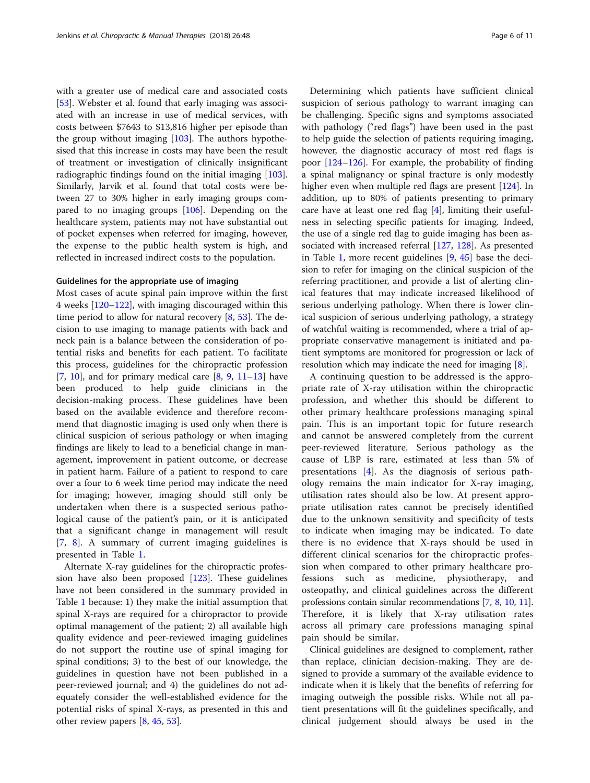with a greater use of medical care and associated costs [[53\]](#page-9-0). Webster et al. found that early imaging was associated with an increase in use of medical services, with costs between \$7643 to \$13,816 higher per episode than the group without imaging [[103\]](#page-10-0). The authors hypothesised that this increase in costs may have been the result of treatment or investigation of clinically insignificant radiographic findings found on the initial imaging [\[103](#page-10-0)]. Similarly, Jarvik et al. found that total costs were between 27 to 30% higher in early imaging groups compared to no imaging groups [\[106](#page-10-0)]. Depending on the healthcare system, patients may not have substantial out of pocket expenses when referred for imaging, however, the expense to the public health system is high, and reflected in increased indirect costs to the population.

## Guidelines for the appropriate use of imaging

Most cases of acute spinal pain improve within the first 4 weeks [\[120](#page-10-0)–[122\]](#page-10-0), with imaging discouraged within this time period to allow for natural recovery  $[8, 53]$  $[8, 53]$  $[8, 53]$ . The decision to use imaging to manage patients with back and neck pain is a balance between the consideration of potential risks and benefits for each patient. To facilitate this process, guidelines for the chiropractic profession  $[7, 10]$  $[7, 10]$  $[7, 10]$  $[7, 10]$  $[7, 10]$ , and for primary medical care  $[8, 9, 11-13]$  $[8, 9, 11-13]$  $[8, 9, 11-13]$  $[8, 9, 11-13]$  $[8, 9, 11-13]$  $[8, 9, 11-13]$  $[8, 9, 11-13]$  $[8, 9, 11-13]$  have been produced to help guide clinicians in the decision-making process. These guidelines have been based on the available evidence and therefore recommend that diagnostic imaging is used only when there is clinical suspicion of serious pathology or when imaging findings are likely to lead to a beneficial change in management, improvement in patient outcome, or decrease in patient harm. Failure of a patient to respond to care over a four to 6 week time period may indicate the need for imaging; however, imaging should still only be undertaken when there is a suspected serious pathological cause of the patient's pain, or it is anticipated that a significant change in management will result [[7,](#page-8-0) [8](#page-8-0)]. A summary of current imaging guidelines is presented in Table [1.](#page-6-0)

Alternate X-ray guidelines for the chiropractic profession have also been proposed [[123](#page-10-0)]. These guidelines have not been considered in the summary provided in Table [1](#page-6-0) because: 1) they make the initial assumption that spinal X-rays are required for a chiropractor to provide optimal management of the patient; 2) all available high quality evidence and peer-reviewed imaging guidelines do not support the routine use of spinal imaging for spinal conditions; 3) to the best of our knowledge, the guidelines in question have not been published in a peer-reviewed journal; and 4) the guidelines do not adequately consider the well-established evidence for the potential risks of spinal X-rays, as presented in this and other review papers [[8](#page-8-0), [45](#page-9-0), [53](#page-9-0)].

Determining which patients have sufficient clinical suspicion of serious pathology to warrant imaging can be challenging. Specific signs and symptoms associated with pathology ("red flags") have been used in the past to help guide the selection of patients requiring imaging, however, the diagnostic accuracy of most red flags is poor [[124](#page-10-0)–[126](#page-10-0)]. For example, the probability of finding a spinal malignancy or spinal fracture is only modestly higher even when multiple red flags are present [[124\]](#page-10-0). In addition, up to 80% of patients presenting to primary care have at least one red flag  $[4]$  $[4]$ , limiting their usefulness in selecting specific patients for imaging. Indeed, the use of a single red flag to guide imaging has been associated with increased referral [[127](#page-10-0), [128\]](#page-10-0). As presented in Table [1,](#page-6-0) more recent guidelines [[9,](#page-8-0) [45](#page-9-0)] base the decision to refer for imaging on the clinical suspicion of the referring practitioner, and provide a list of alerting clinical features that may indicate increased likelihood of serious underlying pathology. When there is lower clinical suspicion of serious underlying pathology, a strategy of watchful waiting is recommended, where a trial of appropriate conservative management is initiated and patient symptoms are monitored for progression or lack of resolution which may indicate the need for imaging  $[8]$  $[8]$  $[8]$ .

A continuing question to be addressed is the appropriate rate of X-ray utilisation within the chiropractic profession, and whether this should be different to other primary healthcare professions managing spinal pain. This is an important topic for future research and cannot be answered completely from the current peer-reviewed literature. Serious pathology as the cause of LBP is rare, estimated at less than 5% of presentations [[4\]](#page-8-0). As the diagnosis of serious pathology remains the main indicator for X-ray imaging, utilisation rates should also be low. At present appropriate utilisation rates cannot be precisely identified due to the unknown sensitivity and specificity of tests to indicate when imaging may be indicated. To date there is no evidence that X-rays should be used in different clinical scenarios for the chiropractic profession when compared to other primary healthcare professions such as medicine, physiotherapy, and osteopathy, and clinical guidelines across the different professions contain similar recommendations [\[7,](#page-8-0) [8](#page-8-0), [10,](#page-8-0) [11](#page-8-0)]. Therefore, it is likely that X-ray utilisation rates across all primary care professions managing spinal pain should be similar.

Clinical guidelines are designed to complement, rather than replace, clinician decision-making. They are designed to provide a summary of the available evidence to indicate when it is likely that the benefits of referring for imaging outweigh the possible risks. While not all patient presentations will fit the guidelines specifically, and clinical judgement should always be used in the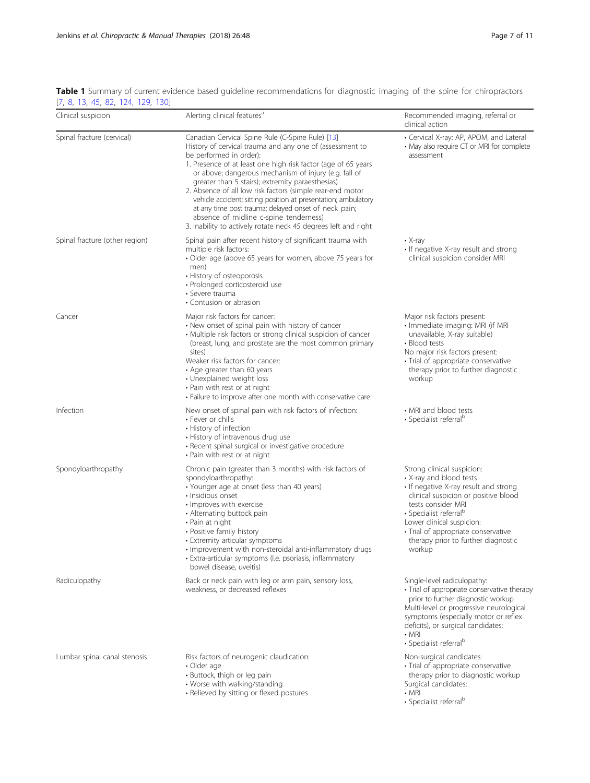<span id="page-6-0"></span>

|  |                                   |  |  |  |  | Table 1 Summary of current evidence based guideline recommendations for diagnostic imaging of the spine for chiropractors |  |  |  |  |
|--|-----------------------------------|--|--|--|--|---------------------------------------------------------------------------------------------------------------------------|--|--|--|--|
|  | [7, 8, 13, 45, 82, 124, 129, 130] |  |  |  |  |                                                                                                                           |  |  |  |  |

| Clinical suspicion             | Alerting clinical features <sup>a</sup>                                                                                                                                                                                                                                                                                                                                                                                                                                                                                                                                                                                  | Recommended imaging, referral or<br>clinical action                                                                                                                                                                                                                                                                     |  |  |  |  |  |
|--------------------------------|--------------------------------------------------------------------------------------------------------------------------------------------------------------------------------------------------------------------------------------------------------------------------------------------------------------------------------------------------------------------------------------------------------------------------------------------------------------------------------------------------------------------------------------------------------------------------------------------------------------------------|-------------------------------------------------------------------------------------------------------------------------------------------------------------------------------------------------------------------------------------------------------------------------------------------------------------------------|--|--|--|--|--|
| Spinal fracture (cervical)     | Canadian Cervical Spine Rule (C-Spine Rule) [13]<br>History of cervical trauma and any one of (assessment to<br>be performed in order):<br>1. Presence of at least one high risk factor (age of 65 years<br>or above; dangerous mechanism of injury (e.g. fall of<br>greater than 5 stairs); extremity paraesthesias)<br>2. Absence of all low risk factors (simple rear-end motor<br>vehicle accident; sitting position at presentation; ambulatory<br>at any time post trauma; delayed onset of neck pain;<br>absence of midline c-spine tenderness)<br>3. Inability to actively rotate neck 45 degrees left and right | • Cervical X-ray: AP, APOM, and Lateral<br>• May also require CT or MRI for complete<br>assessment                                                                                                                                                                                                                      |  |  |  |  |  |
| Spinal fracture (other region) | Spinal pain after recent history of significant trauma with<br>multiple risk factors:<br>• Older age (above 65 years for women, above 75 years for<br>men)<br>• History of osteoporosis<br>· Prolonged corticosteroid use<br>• Severe trauma<br>• Contusion or abrasion                                                                                                                                                                                                                                                                                                                                                  | • $X$ -ray<br>• If negative X-ray result and strong<br>clinical suspicion consider MRI                                                                                                                                                                                                                                  |  |  |  |  |  |
| Cancer                         | Major risk factors for cancer:<br>• New onset of spinal pain with history of cancer<br>• Multiple risk factors or strong clinical suspicion of cancer<br>(breast, lung, and prostate are the most common primary<br>sites)<br>Weaker risk factors for cancer:<br>• Age greater than 60 years<br>• Unexplained weight loss<br>· Pain with rest or at night<br>· Failure to improve after one month with conservative care                                                                                                                                                                                                 | Major risk factors present:<br>· Immediate imaging: MRI (if MRI<br>unavailable, X-ray suitable)<br>• Blood tests<br>No major risk factors present:<br>· Trial of appropriate conservative<br>therapy prior to further diagnostic<br>workup                                                                              |  |  |  |  |  |
| Infection                      | New onset of spinal pain with risk factors of infection:<br>• Fever or chills<br>• History of infection<br>• History of intravenous drug use<br>· Recent spinal surgical or investigative procedure<br>• Pain with rest or at night                                                                                                                                                                                                                                                                                                                                                                                      | • MRI and blood tests<br>· Specialist referral <sup>b</sup>                                                                                                                                                                                                                                                             |  |  |  |  |  |
| Spondyloarthropathy            | Chronic pain (greater than 3 months) with risk factors of<br>spondyloarthropathy:<br>• Younger age at onset (less than 40 years)<br>• Insidious onset<br>• Improves with exercise<br>• Alternating buttock pain<br>• Pain at night<br>• Positive family history<br>• Extremity articular symptoms<br>· Improvement with non-steroidal anti-inflammatory drugs<br>· Extra-articular symptoms (I.e. psoriasis, inflammatory<br>bowel disease, uveitis)                                                                                                                                                                     | Strong clinical suspicion:<br>• X-ray and blood tests<br>• If negative X-ray result and strong<br>clinical suspicion or positive blood<br>tests consider MRI<br>· Specialist referral <sup>b</sup><br>Lower clinical suspicion:<br>· Trial of appropriate conservative<br>therapy prior to further diagnostic<br>workup |  |  |  |  |  |
| Radiculopathy                  | Back or neck pain with leg or arm pain, sensory loss,<br>weakness, or decreased reflexes                                                                                                                                                                                                                                                                                                                                                                                                                                                                                                                                 | Single-level radiculopathy:<br>· Trial of appropriate conservative therapy<br>prior to further diagnostic workup<br>Multi-level or progressive neurological<br>symptoms (especially motor or reflex<br>deficits), or surgical candidates:<br>$\cdot$ MRI<br>· Specialist referral <sup>b</sup>                          |  |  |  |  |  |
| Lumbar spinal canal stenosis   | Risk factors of neurogenic claudication:<br>• Older age<br>· Buttock, thigh or leg pain<br>• Worse with walking/standing<br>• Relieved by sitting or flexed postures                                                                                                                                                                                                                                                                                                                                                                                                                                                     | Non-surgical candidates:<br>· Trial of appropriate conservative<br>therapy prior to diagnostic workup<br>Surgical candidates:<br>$\cdot$ MRI<br>· Specialist referral <sup>b</sup>                                                                                                                                      |  |  |  |  |  |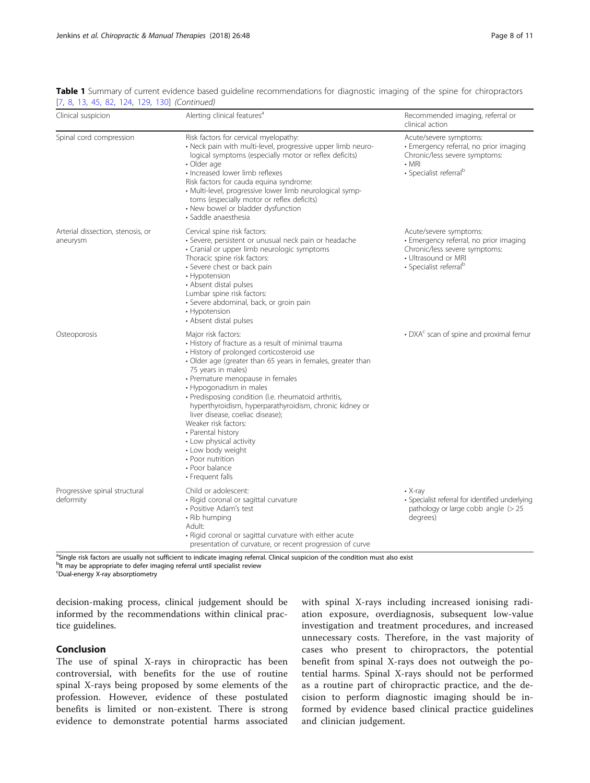|  |  |                                               |  |  |  |  |  | Table 1 Summary of current evidence based guideline recommendations for diagnostic imaging of the spine for chiropractors |  |
|--|--|-----------------------------------------------|--|--|--|--|--|---------------------------------------------------------------------------------------------------------------------------|--|
|  |  | [7, 8, 13, 45, 82, 124, 129, 130] (Continued) |  |  |  |  |  |                                                                                                                           |  |

| Clinical suspicion                            | Alerting clinical features <sup>a</sup>                                                                                                                                                                                                                                                                                                                                                                                                                                                                                                                                                    | Recommended imaging, referral or<br>clinical action                                                                                                            |  |  |  |  |  |
|-----------------------------------------------|--------------------------------------------------------------------------------------------------------------------------------------------------------------------------------------------------------------------------------------------------------------------------------------------------------------------------------------------------------------------------------------------------------------------------------------------------------------------------------------------------------------------------------------------------------------------------------------------|----------------------------------------------------------------------------------------------------------------------------------------------------------------|--|--|--|--|--|
| Spinal cord compression                       | Risk factors for cervical myelopathy:<br>• Neck pain with multi-level, progressive upper limb neuro-<br>logical symptoms (especially motor or reflex deficits)<br>$\cdot$ Older age<br>· Increased lower limb reflexes<br>Risk factors for cauda equina syndrome:<br>· Multi-level, progressive lower limb neurological symp-<br>toms (especially motor or reflex deficits)<br>• New bowel or bladder dysfunction<br>· Saddle anaesthesia                                                                                                                                                  | Acute/severe symptoms:<br>· Emergency referral, no prior imaging<br>Chronic/less severe symptoms:<br>$\cdot$ MRI<br>· Specialist referral <sup>b</sup>         |  |  |  |  |  |
| Arterial dissection, stenosis, or<br>aneurysm | Cervical spine risk factors:<br>· Severe, persistent or unusual neck pain or headache<br>• Cranial or upper limb neurologic symptoms<br>Thoracic spine risk factors:<br>· Severe chest or back pain<br>• Hypotension<br>• Absent distal pulses<br>Lumbar spine risk factors:<br>· Severe abdominal, back, or groin pain<br>• Hypotension<br>• Absent distal pulses                                                                                                                                                                                                                         | Acute/severe symptoms:<br>· Emergency referral, no prior imaging<br>Chronic/less severe symptoms:<br>• Ultrasound or MRI<br>· Specialist referral <sup>b</sup> |  |  |  |  |  |
| Osteoporosis                                  | Major risk factors:<br>• History of fracture as a result of minimal trauma<br>• History of prolonged corticosteroid use<br>• Older age (greater than 65 years in females, greater than<br>75 years in males)<br>• Premature menopause in females<br>• Hypogonadism in males<br>• Predisposing condition (I.e. rheumatoid arthritis,<br>hyperthyroidism, hyperparathyroidism, chronic kidney or<br>liver disease, coeliac disease):<br>Weaker risk factors:<br>• Parental history<br>• Low physical activity<br>• Low body weight<br>• Poor nutrition<br>• Poor balance<br>• Frequent falls | • DXA <sup>c</sup> scan of spine and proximal femur                                                                                                            |  |  |  |  |  |
| Progressive spinal structural<br>deformity    | Child or adolescent:<br>• Rigid coronal or sagittal curvature<br>• Positive Adam's test<br>• Rib humping<br>Adult:<br>• Rigid coronal or sagittal curvature with either acute<br>presentation of curvature, or recent progression of curve                                                                                                                                                                                                                                                                                                                                                 | $\cdot$ X-ray<br>· Specialist referral for identified underlying<br>pathology or large cobb angle (> 25<br>degrees)                                            |  |  |  |  |  |

<sup>a</sup>Single risk factors are usually not sufficient to indicate imaging referral. Clinical suspicion of the condition must also exist <sup>b</sup>lt may be appropriate to defer imaging referral until specialist review

c Dual-energy X-ray absorptiometry

decision-making process, clinical judgement should be informed by the recommendations within clinical practice guidelines.

# Conclusion

The use of spinal X-rays in chiropractic has been controversial, with benefits for the use of routine spinal X-rays being proposed by some elements of the profession. However, evidence of these postulated benefits is limited or non-existent. There is strong evidence to demonstrate potential harms associated with spinal X-rays including increased ionising radiation exposure, overdiagnosis, subsequent low-value investigation and treatment procedures, and increased unnecessary costs. Therefore, in the vast majority of cases who present to chiropractors, the potential benefit from spinal X-rays does not outweigh the potential harms. Spinal X-rays should not be performed as a routine part of chiropractic practice, and the decision to perform diagnostic imaging should be informed by evidence based clinical practice guidelines and clinician judgement.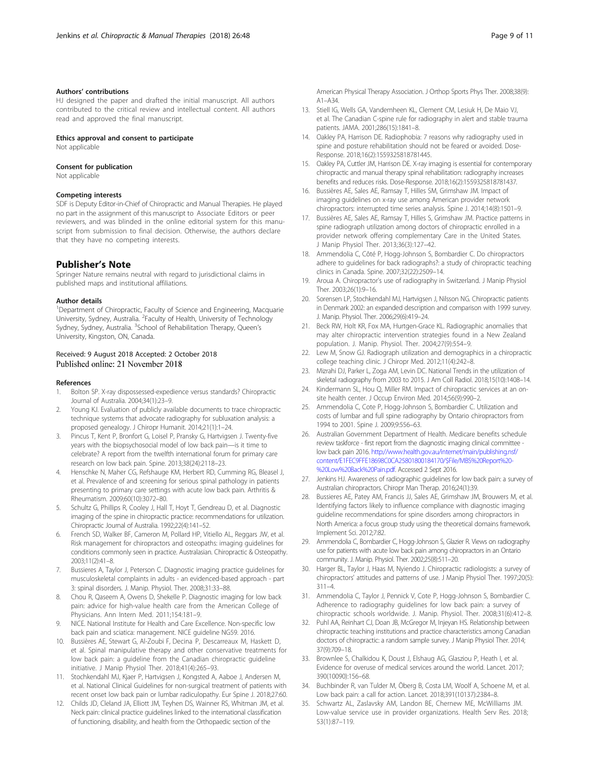## <span id="page-8-0"></span>Authors' contributions

HJ designed the paper and drafted the initial manuscript. All authors contributed to the critical review and intellectual content. All authors read and approved the final manuscript.

Ethics approval and consent to participate

Not applicable

#### Consent for publication

Not applicable

#### Competing interests

SDF is Deputy Editor-in-Chief of Chiropractic and Manual Therapies. He played no part in the assignment of this manuscript to Associate Editors or peer reviewers, and was blinded in the online editorial system for this manuscript from submission to final decision. Otherwise, the authors declare that they have no competing interests.

## Publisher's Note

Springer Nature remains neutral with regard to jurisdictional claims in published maps and institutional affiliations.

## Author details

<sup>1</sup>Department of Chiropractic, Faculty of Science and Engineering, Macquarie University, Sydney, Australia. <sup>2</sup> Faculty of Health, University of Technology Sydney, Sydney, Australia. <sup>3</sup>School of Rehabilitation Therapy, Queen's University, Kingston, ON, Canada.

## Received: 9 August 2018 Accepted: 2 October 2018 Published online: 21 November 2018

#### References

- 1. Bolton SP. X-ray dispossessed-expedience versus standards? Chiropractic Journal of Australia. 2004;34(1):23–9.
- 2. Young KJ. Evaluation of publicly available documents to trace chiropractic technique systems that advocate radiography for subluxation analysis: a proposed genealogy. J Chiropr Humanit. 2014;21(1):1–24.
- 3. Pincus T, Kent P, Bronfort G, Loisel P, Pransky G, Hartvigsen J. Twenty-five years with the biopsychosocial model of low back pain—is it time to celebrate? A report from the twelfth international forum for primary care research on low back pain. Spine. 2013;38(24):2118–23.
- 4. Henschke N, Maher CG, Refshauge KM, Herbert RD, Cumming RG, Bleasel J, et al. Prevalence of and screening for serious spinal pathology in patients presenting to primary care settings with acute low back pain. Arthritis & Rheumatism. 2009;60(10):3072–80.
- Schultz G, Phillips R, Cooley J, Hall T, Hoyt T, Gendreau D, et al. Diagnostic imaging of the spine in chiropractic practice: recommendations for utilization. Chiropractic Journal of Australia. 1992;22(4):141–52.
- 6. French SD, Walker BF, Cameron M, Pollard HP, Vitiello AL, Reggars JW, et al. Risk management for chiropractors and osteopaths: imaging guidelines for conditions commonly seen in practice. Australasian. Chiropractic & Osteopathy. 2003;11(2):41–8.
- 7. Bussieres A, Taylor J, Peterson C. Diagnostic imaging practice guidelines for musculoskeletal complaints in adults - an evidenced-based approach - part 3: spinal disorders. J. Manip. Physiol. Ther. 2008;31:33–88.
- 8. Chou R, Qaseem A, Owens D, Shekelle P. Diagnostic imaging for low back pain: advice for high-value health care from the American College of Physicians. Ann Intern Med. 2011;154:181–9.
- 9. NICE. National Institute for Health and Care Excellence. Non-specific low back pain and sciatica: management. NICE guideline NG59. 2016.
- 10. Bussières AE, Stewart G, Al-Zoubi F, Decina P, Descarreaux M, Haskett D, et al. Spinal manipulative therapy and other conservative treatments for low back pain: a guideline from the Canadian chiropractic guideline initiative. J Manip Physiol Ther. 2018;41(4):265–93.
- 11. Stochkendahl MJ, Kjaer P, Hartvigsen J, Kongsted A, Aaboe J, Andersen M, et al. National Clinical Guidelines for non-surgical treatment of patients with recent onset low back pain or lumbar radiculopathy. Eur Spine J. 2018;27:60.
- 12. Childs JD, Cleland JA, Elliott JM, Teyhen DS, Wainner RS, Whitman JM, et al. Neck pain: clinical practice guidelines linked to the international classification of functioning, disability, and health from the Orthopaedic section of the

American Physical Therapy Association. J Orthop Sports Phys Ther. 2008;38(9):  $A1 - A34$ 

- 13. Stiell IG, Wells GA, Vandemheen KL, Clement CM, Lesiuk H, De Maio VJ, et al. The Canadian C-spine rule for radiography in alert and stable trauma patients. JAMA. 2001;286(15):1841–8.
- 14. Oakley PA, Harrison DE. Radiophobia: 7 reasons why radiography used in spine and posture rehabilitation should not be feared or avoided. Dose-Response. 2018;16(2):1559325818781445.
- 15. Oakley PA, Cuttler JM, Harrison DE. X-ray imaging is essential for contemporary chiropractic and manual therapy spinal rehabilitation: radiography increases benefits and reduces risks. Dose-Response. 2018;16(2):1559325818781437.
- 16. Bussières AE, Sales AE, Ramsay T, Hilles SM, Grimshaw JM. Impact of imaging guidelines on x-ray use among American provider network chiropractors: interrupted time series analysis. Spine J. 2014;14(8):1501–9.
- 17. Bussières AE, Sales AE, Ramsay T, Hilles S, Grimshaw JM. Practice patterns in spine radiograph utilization among doctors of chiropractic enrolled in a provider network offering complementary Care in the United States. J Manip Physiol Ther. 2013;36(3):127–42.
- 18. Ammendolia C, Côté P, Hogg-Johnson S, Bombardier C. Do chiropractors adhere to guidelines for back radiographs?: a study of chiropractic teaching clinics in Canada. Spine. 2007;32(22):2509–14.
- 19. Aroua A. Chiropractor's use of radiography in Switzerland. J Manip Physiol Ther. 2003;26(1):9–16.
- 20. Sorensen LP, Stochkendahl MJ, Hartvigsen J, Nilsson NG. Chiropractic patients in Denmark 2002: an expanded description and comparison with 1999 survey. J. Manip. Physiol. Ther. 2006;29(6):419–24.
- 21. Beck RW, Holt KR, Fox MA, Hurtgen-Grace KL. Radiographic anomalies that may alter chiropractic intervention strategies found in a New Zealand population. J. Manip. Physiol. Ther. 2004;27(9):554–9.
- 22. Lew M, Snow GJ. Radiograph utilization and demographics in a chiropractic college teaching clinic. J Chiropr Med. 2012;11(4):242–8.
- 23. Mizrahi DJ, Parker L, Zoga AM, Levin DC. National Trends in the utilization of skeletal radiography from 2003 to 2015. J Am Coll Radiol. 2018;15(10):1408–14.
- 24. Kindermann SL, Hou Q, Miller RM. Impact of chiropractic services at an onsite health center. J Occup Environ Med. 2014;56(9):990–2.
- 25. Ammendolia C, Cote P, Hogg-Johnson S, Bombardier C. Utilization and costs of lumbar and full spine radiography by Ontario chiropractors from 1994 to 2001. Spine J. 2009;9:556–63.
- 26. Australian Government Department of Health. Medicare benefits schedule review taskforce - first report from the diagnostic imaging clinical committee low back pain 2016. [http://www.health.gov.au/internet/main/publishing.nsf/](http://www.health.gov.au/internet/main/publishing.nsf/content/E1FEC9FFE18698C0CA25801800184170/File/MBS%20Report%20-%20Low%20Back%20Pain.pdf) [content/E1FEC9FFE18698C0CA25801800184170/\\$File/MBS%20Report%20-](http://www.health.gov.au/internet/main/publishing.nsf/content/E1FEC9FFE18698C0CA25801800184170/File/MBS%20Report%20-%20Low%20Back%20Pain.pdf) [%20Low%20Back%20Pain.pdf.](http://www.health.gov.au/internet/main/publishing.nsf/content/E1FEC9FFE18698C0CA25801800184170/File/MBS%20Report%20-%20Low%20Back%20Pain.pdf) Accessed 2 Sept 2016.
- 27. Jenkins HJ. Awareness of radiographic guidelines for low back pain: a survey of Australian chiropractors. Chiropr Man Therap. 2016;24(1):39.
- 28. Bussieres AE, Patey AM, Francis JJ, Sales AE, Grimshaw JM, Brouwers M, et al. Identifying factors likely to influence compliance with diagnostic imaging guideline recommendations for spine disorders among chiropractors in North America: a focus group study using the theoretical domains framework. Implement Sci. 2012;7:82.
- 29. Ammendolia C, Bombardier C, Hogg-Johnson S, Glazier R. Views on radiography use for patients with acute low back pain among chiropractors in an Ontario community. J. Manip. Physiol. Ther. 2002;25(8):511–20.
- 30. Harger BL, Taylor J, Haas M, Nyiendo J. Chiropractic radiologists: a survey of chiropractors' attitudes and patterns of use. J Manip Physiol Ther. 1997;20(5): 311–4.
- 31. Ammendolia C, Taylor J, Pennick V, Cote P, Hogg-Johnson S, Bombardier C. Adherence to radiography guidelines for low back pain: a survey of chiropractic schools worldwide. J. Manip. Physiol. Ther. 2008;31(6):412–8.
- 32. Puhl AA, Reinhart CJ, Doan JB, McGregor M, Injeyan HS. Relationship between chiropractic teaching institutions and practice characteristics among Canadian doctors of chiropractic: a random sample survey. J Manip Physiol Ther. 2014; 37(9):709–18.
- 33. Brownlee S, Chalkidou K, Doust J, Elshaug AG, Glasziou P, Heath I, et al. Evidence for overuse of medical services around the world. Lancet. 2017; 390(10090):156–68.
- 34. Buchbinder R, van Tulder M, Öberg B, Costa LM, Woolf A, Schoene M, et al. Low back pain: a call for action. Lancet. 2018;391(10137):2384–8.
- 35. Schwartz AL, Zaslavsky AM, Landon BE, Chernew ME, McWilliams JM. Low-value service use in provider organizations. Health Serv Res. 2018; 53(1):87–119.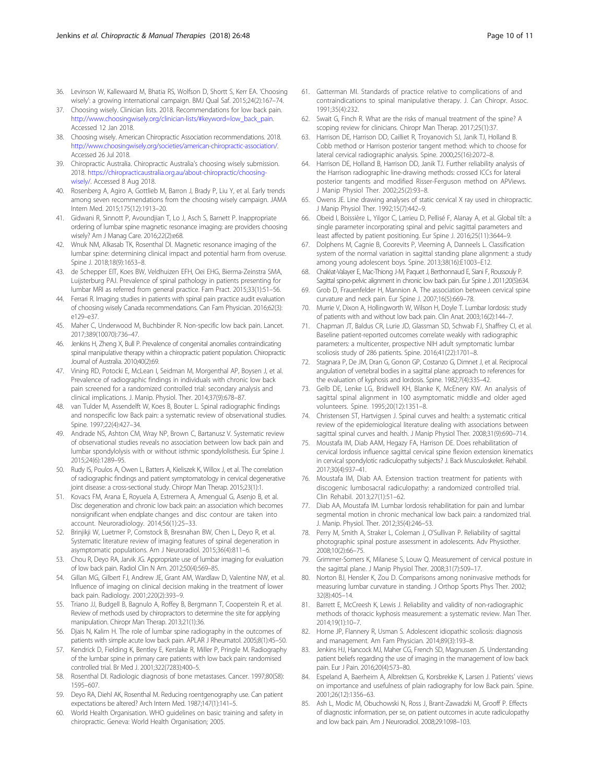- <span id="page-9-0"></span>36. Levinson W, Kallewaard M, Bhatia RS, Wolfson D, Shortt S, Kerr EA. 'Choosing wisely': a growing international campaign. BMJ Qual Saf. 2015;24(2):167–74.
- 37. Choosing wisely. Clinician lists. 2018. Recommendations for low back pain. [http://www.choosingwisely.org/clinician-lists/#keyword=low\\_back\\_pain.](http://www.choosingwisely.org/clinician-lists/#keyword=low_back_pain) Accessed 12 Jan 2018.
- 38. Choosing wisely. American Chiropractic Association recommendations. 2018. [http://www.choosingwisely.org/societies/american-chiropractic-association/.](http://www.choosingwisely.org/societies/american-chiropractic-association/) Accessed 26 Jul 2018.
- 39. Chiropractic Australia. Chiropractic Australia's choosing wisely submission. 2018. [https://chiropracticaustralia.org.au/about-chiropractic/choosing](https://chiropracticaustralia.org.au/about-chiropractic/choosing-wisely/)[wisely/](https://chiropracticaustralia.org.au/about-chiropractic/choosing-wisely/). Accessed 8 Aug 2018.
- 40. Rosenberg A, Agiro A, Gottlieb M, Barron J, Brady P, Liu Y, et al. Early trends among seven recommendations from the choosing wisely campaign. JAMA Intern Med. 2015;175(12):1913–20.
- 41. Gidwani R, Sinnott P, Avoundjian T, Lo J, Asch S, Barnett P. Inappropriate ordering of lumbar spine magnetic resonance imaging: are providers choosing wisely? Am J Manag Care. 2016;22(2):e68.
- 42. Wnuk NM, Alkasab TK, Rosenthal DI. Magnetic resonance imaging of the lumbar spine: determining clinical impact and potential harm from overuse. Spine J. 2018;18(9):1653–8.
- 43. de Schepper EIT, Koes BW, Veldhuizen EFH, Oei EHG, Bierma-Zeinstra SMA, Luijsterburg PAJ. Prevalence of spinal pathology in patients presenting for lumbar MRI as referred from general practice. Fam Pract. 2015;33(1):51–56.
- 44. Ferrari R. Imaging studies in patients with spinal pain practice audit evaluation of choosing wisely Canada recommendations. Can Fam Physician. 2016;62(3): e129–e37.
- 45. Maher C, Underwood M, Buchbinder R. Non-specific low back pain. Lancet. 2017;389(10070):736–47.
- 46. Jenkins H, Zheng X, Bull P. Prevalence of congenital anomalies contraindicating spinal manipulative therapy within a chiropractic patient population. Chiropractic Journal of Australia. 2010;40(2):69.
- 47. Vining RD, Potocki E, McLean I, Seidman M, Morgenthal AP, Boysen J, et al. Prevalence of radiographic findings in individuals with chronic low back pain screened for a randomized controlled trial: secondary analysis and clinical implications. J. Manip. Physiol. Ther. 2014;37(9):678–87.
- 48. van Tulder M, Assendelft W, Koes B, Bouter L. Spinal radiographic findings and nonspecific low Back pain: a systematic review of observational studies. Spine. 1997;22(4):427–34.
- 49. Andrade NS, Ashton CM, Wray NP, Brown C, Bartanusz V. Systematic review of observational studies reveals no association between low back pain and lumbar spondylolysis with or without isthmic spondylolisthesis. Eur Spine J. 2015;24(6):1289–95.
- 50. Rudy IS, Poulos A, Owen L, Batters A, Kieliszek K, Willox J, et al. The correlation of radiographic findings and patient symptomatology in cervical degenerative joint disease: a cross-sectional study. Chiropr Man Therap. 2015;23(1):1.
- 51. Kovacs FM, Arana E, Royuela A, Estremera A, Amengual G, Asenjo B, et al. Disc degeneration and chronic low back pain: an association which becomes nonsignificant when endplate changes and disc contour are taken into account. Neuroradiology. 2014;56(1):25–33.
- 52. Brinjikji W, Luetmer P, Comstock B, Bresnahan BW, Chen L, Deyo R, et al. Systematic literature review of imaging features of spinal degeneration in asymptomatic populations. Am J Neuroradiol. 2015;36(4):811–6.
- 53. Chou R, Deyo RA, Jarvik JG. Appropriate use of lumbar imaging for evaluation of low back pain. Radiol Clin N Am. 2012;50(4):569–85.
- 54. Gillan MG, Gilbert FJ, Andrew JE, Grant AM, Wardlaw D, Valentine NW, et al. Influence of imaging on clinical decision making in the treatment of lower back pain. Radiology. 2001;220(2):393–9.
- 55. Triano JJ, Budgell B, Bagnulo A, Roffey B, Bergmann T, Cooperstein R, et al. Review of methods used by chiropractors to determine the site for applying manipulation. Chiropr Man Therap. 2013;21(1):36.
- Djais N, Kalim H. The role of lumbar spine radiography in the outcomes of patients with simple acute low back pain. APLAR J Rheumatol. 2005;8(1):45–50.
- 57. Kendrick D, Fielding K, Bentley E, Kerslake R, Miller P, Pringle M. Radiography of the lumbar spine in primary care patients with low back pain: randomised controlled trial. Br Med J. 2001;322(7283):400–5.
- 58. Rosenthal DI. Radiologic diagnosis of bone metastases. Cancer. 1997;80(S8): 1595–607.
- 59. Deyo RA, Diehl AK, Rosenthal M. Reducing roentgenography use. Can patient expectations be altered? Arch Intern Med. 1987;147(1):141–5.
- 60. World Health Organisation. WHO guidelines on basic training and safety in chiropractic. Geneva: World Health Organisation; 2005.
- 61. Gatterman MI. Standards of practice relative to complications of and contraindications to spinal manipulative therapy. J. Can Chiropr. Assoc. 1991;35(4):232.
- 62. Swait G, Finch R. What are the risks of manual treatment of the spine? A scoping review for clinicians. Chiropr Man Therap. 2017;25(1):37.
- 63. Harrison DE, Harrison DD, Cailliet R, Troyanovich SJ, Janik TJ, Holland B. Cobb method or Harrison posterior tangent method: which to choose for lateral cervical radiographic analysis. Spine. 2000;25(16):2072–8.
- 64. Harrison DE, Holland B, Harrison DD, Janik TJ. Further reliability analysis of the Harrison radiographic line-drawing methods: crossed ICCs for lateral posterior tangents and modified Risser-Ferguson method on APViews. J Manip Physiol Ther. 2002;25(2):93–8.
- 65. Owens JE. Line drawing analyses of static cervical X ray used in chiropractic. J Manip Physiol Ther. 1992;15(7):442–9.
- 66. Obeid I, Boissière L, Yilgor C, Larrieu D, Pellisé F, Alanay A, et al. Global tilt: a single parameter incorporating spinal and pelvic sagittal parameters and least affected by patient positioning. Eur Spine J. 2016;25(11):3644–9.
- 67. Dolphens M, Cagnie B, Coorevits P, Vleeming A, Danneels L. Classification system of the normal variation in sagittal standing plane alignment: a study among young adolescent boys. Spine. 2013;38(16):E1003–E12.
- 68. Chaléat-Valayer E, Mac-Thiong J-M, Paquet J, Berthonnaud E, Siani F, Roussouly P. Sagittal spino-pelvic alignment in chronic low back pain. Eur Spine J. 2011;20(5):634.
- 69. Grob D, Frauenfelder H, Mannion A. The association between cervical spine curvature and neck pain. Eur Spine J. 2007;16(5):669–78.
- Murrie V, Dixon A, Hollingworth W, Wilson H, Doyle T. Lumbar lordosis: study of patients with and without low back pain. Clin Anat. 2003;16(2):144–7.
- 71. Chapman JT, Baldus CR, Lurie JD, Glassman SD, Schwab FJ, Shaffrey CI, et al. Baseline patient-reported outcomes correlate weakly with radiographic parameters: a multicenter, prospective NIH adult symptomatic lumbar scoliosis study of 286 patients. Spine. 2016;41(22):1701–8.
- 72. Stagnara P, De JM, Dran G, Gonon GP, Costanzo G, Dimnet J, et al. Reciprocal angulation of vertebral bodies in a sagittal plane: approach to references for the evaluation of kyphosis and lordosis. Spine. 1982;7(4):335–42.
- 73. Gelb DE, Lenke LG, Bridwell KH, Blanke K, McEnery KW. An analysis of sagittal spinal alignment in 100 asymptomatic middle and older aged volunteers. Spine. 1995;20(12):1351–8.
- 74. Christensen ST, Hartvigsen J. Spinal curves and health: a systematic critical review of the epidemiological literature dealing with associations between sagittal spinal curves and health. J Manip Physiol Ther. 2008;31(9):690–714.
- 75. Moustafa IM, Diab AAM, Hegazy FA, Harrison DE. Does rehabilitation of cervical lordosis influence sagittal cervical spine flexion extension kinematics in cervical spondylotic radiculopathy subjects? J. Back Musculoskelet. Rehabil. 2017;30(4):937–41.
- 76. Moustafa IM, Diab AA. Extension traction treatment for patients with discogenic lumbosacral radiculopathy: a randomized controlled trial. Clin Rehabil. 2013;27(1):51–62.
- 77. Diab AA, Moustafa IM. Lumbar lordosis rehabilitation for pain and lumbar segmental motion in chronic mechanical low back pain: a randomized trial. J. Manip. Physiol. Ther. 2012;35(4):246–53.
- 78. Perry M, Smith A, Straker L, Coleman J, O'Sullivan P. Reliability of sagittal photographic spinal posture assessment in adolescents. Adv Physiother. 2008;10(2):66–75.
- 79. Grimmer-Somers K, Milanese S, Louw Q. Measurement of cervical posture in the sagittal plane. J Manip Physiol Ther. 2008;31(7):509–17.
- 80. Norton BJ, Hensler K, Zou D. Comparisons among noninvasive methods for measuring lumbar curvature in standing. J Orthop Sports Phys Ther. 2002; 32(8):405–14.
- 81. Barrett E, McCreesh K, Lewis J. Reliability and validity of non-radiographic methods of thoracic kyphosis measurement: a systematic review. Man Ther. 2014;19(1):10–7.
- 82. Horne JP, Flannery R, Usman S. Adolescent idiopathic scoliosis: diagnosis and management. Am Fam Physician. 2014;89(3):193–8.
- 83. Jenkins HJ, Hancock MJ, Maher CG, French SD, Magnussen JS. Understanding patient beliefs regarding the use of imaging in the management of low back pain. Eur J Pain. 2016;20(4):573–80.
- 84. Espeland A, Baerheim A, Albrektsen G, Korsbrekke K, Larsen J. Patients' views on importance and usefulness of plain radiography for low Back pain. Spine. 2001;26(12):1356–63.
- 85. Ash L, Modic M, Obuchowski N, Ross J, Brant-Zawadzki M, Grooff P. Effects of diagnostic information, per se, on patient outcomes in acute radiculopathy and low back pain. Am J Neuroradiol. 2008;29:1098–103.